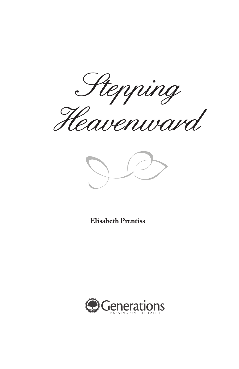Stepping Heavenward



**Elisabeth Prentiss**

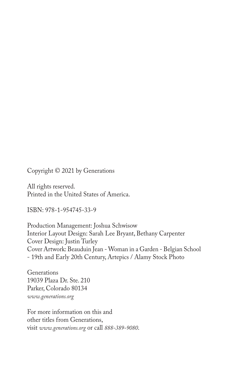Copyright © 2021 by Generations

All rights reserved. Printed in the United States of America.

ISBN: 978-1-954745-33-9

Production Management: Joshua Schwisow Interior Layout Design: Sarah Lee Bryant, Bethany Carpenter Cover Design: Justin Turley Cover Artwork: Beauduin Jean - Woman in a Garden - Belgian School - 19th and Early 20th Century, Artepics / Alamy Stock Photo

Generations 19039 Plaza Dr. Ste. 210 Parker, Colorado 80134 *www.generations.org*

For more information on this and other titles from Generations, visit *www.generations.org* or call *888-389-9080*.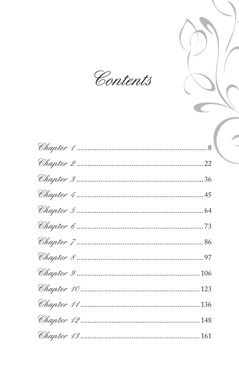Contents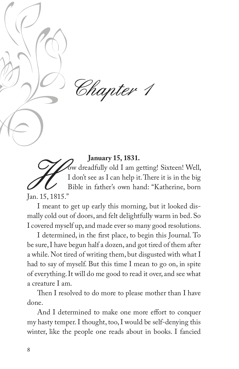

**January 15, 1831.**<br>Sw dreadfully old I am getting! Sixteen! Well, I don't see as I can help it. There it is in the big Bible in father's own hand: "Katherine, born

Jan. 15, 1815."

I meant to get up early this morning, but it looked dismally cold out of doors, and felt delightfully warm in bed. So I covered myself up, and made ever so many good resolutions.

I determined, in the first place, to begin this Journal. To be sure, I have begun half a dozen, and got tired of them after a while. Not tired of writing them, but disgusted with what I had to say of myself. But this time I mean to go on, in spite of everything. It will do me good to read it over, and see what a creature I am.

Then I resolved to do more to please mother than I have done.

And I determined to make one more effort to conquer my hasty temper. I thought, too, I would be self-denying this winter, like the people one reads about in books. I fancied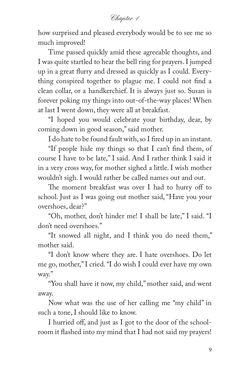how surprised and pleased everybody would be to see me so much improved!

Time passed quickly amid these agreeable thoughts, and I was quite startled to hear the bell ring for prayers. I jumped up in a great flurry and dressed as quickly as I could. Everything conspired together to plague me. I could not find a clean collar, or a handkerchief. It is always just so. Susan is forever poking my things into out-of-the-way places! When at last I went down, they were all at breakfast.

"I hoped you would celebrate your birthday, dear, by coming down in good season," said mother.

I do hate to be found fault with, so I fired up in an instant.

"If people hide my things so that I can't find them, of course I have to be late," I said. And I rather think I said it in a very cross way, for mother sighed a little. I wish mother wouldn't sigh. I would rather be called names out and out.

The moment breakfast was over I had to hurry off to school. Just as I was going out mother said, "Have you your overshoes, dear?"

"Oh, mother, don't hinder me! I shall be late," I said. "I don't need overshoes."

"It snowed all night, and I think you do need them," mother said.

"I don't know where they are. I hate overshoes. Do let me go, mother," I cried. "I do wish I could ever have my own way."

"You shall have it now, my child," mother said, and went away.

Now what was the use of her calling me "my child" in such a tone, I should like to know.

I hurried off, and just as I got to the door of the schoolroom it flashed into my mind that I had not said my prayers!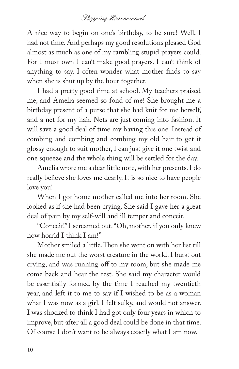A nice way to begin on one's birthday, to be sure! Well, I had not time. And perhaps my good resolutions pleased God almost as much as one of my rambling stupid prayers could. For I must own I can't make good prayers. I can't think of anything to say. I often wonder what mother finds to say when she is shut up by the hour together.

I had a pretty good time at school. My teachers praised me, and Amelia seemed so fond of me! She brought me a birthday present of a purse that she had knit for me herself, and a net for my hair. Nets are just coming into fashion. It will save a good deal of time my having this one. Instead of combing and combing and combing my old hair to get it glossy enough to suit mother, I can just give it one twist and one squeeze and the whole thing will be settled for the day.

Amelia wrote me a dear little note, with her presents. I do really believe she loves me dearly. It is so nice to have people love you!

When I got home mother called me into her room. She looked as if she had been crying. She said I gave her a great deal of pain by my self-will and ill temper and conceit.

"Conceit!" I screamed out. "Oh, mother, if you only knew how horrid I think I am!"

Mother smiled a little. Then she went on with her list till she made me out the worst creature in the world. I burst out crying, and was running off to my room, but she made me come back and hear the rest. She said my character would be essentially formed by the time I reached my twentieth year, and left it to me to say if I wished to be as a woman what I was now as a girl. I felt sulky, and would not answer. I was shocked to think I had got only four years in which to improve, but after all a good deal could be done in that time. Of course I don't want to be always exactly what I am now.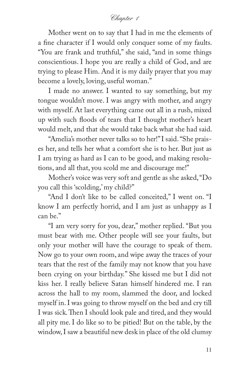Mother went on to say that I had in me the elements of a fine character if I would only conquer some of my faults. "You are frank and truthful," she said, "and in some things conscientious. I hope you are really a child of God, and are trying to please Him. And it is my daily prayer that you may become a lovely, loving, useful woman."

I made no answer. I wanted to say something, but my tongue wouldn't move. I was angry with mother, and angry with myself. At last everything came out all in a rush, mixed up with such floods of tears that I thought mother's heart would melt, and that she would take back what she had said.

"Amelia's mother never talks so to her!" I said. "She praises her, and tells her what a comfort she is to her. But just as I am trying as hard as I can to be good, and making resolutions, and all that, you scold me and discourage me!"

Mother's voice was very soft and gentle as she asked, "Do you call this 'scolding,' my child?"

"And I don't like to be called conceited," I went on. "I know I am perfectly horrid, and I am just as unhappy as I can be."

"I am very sorry for you, dear," mother replied. "But you must bear with me. Other people will see your faults, but only your mother will have the courage to speak of them. Now go to your own room, and wipe away the traces of your tears that the rest of the family may not know that you have been crying on your birthday." She kissed me but I did not kiss her. I really believe Satan himself hindered me. I ran across the hall to my room, slammed the door, and locked myself in. I was going to throw myself on the bed and cry till I was sick. Then I should look pale and tired, and they would all pity me. I do like so to be pitied! But on the table, by the window, I saw a beautiful new desk in place of the old clumsy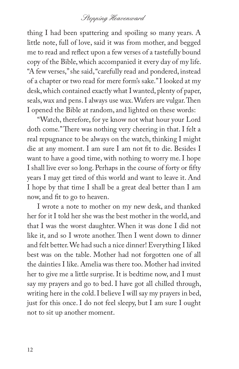thing I had been spattering and spoiling so many years. A little note, full of love, said it was from mother, and begged me to read and reflect upon a few verses of a tastefully bound copy of the Bible, which accompanied it every day of my life. "A few verses," she said, "carefully read and pondered, instead of a chapter or two read for mere form's sake." I looked at my desk, which contained exactly what I wanted, plenty of paper, seals, wax and pens. I always use wax. Wafers are vulgar. Then I opened the Bible at random, and lighted on these words:

"Watch, therefore, for ye know not what hour your Lord doth come." There was nothing very cheering in that. I felt a real repugnance to be always on the watch, thinking I might die at any moment. I am sure I am not fit to die. Besides I want to have a good time, with nothing to worry me. I hope I shall live ever so long. Perhaps in the course of forty or fifty years I may get tired of this world and want to leave it. And I hope by that time I shall be a great deal better than I am now, and fit to go to heaven.

I wrote a note to mother on my new desk, and thanked her for it I told her she was the best mother in the world, and that I was the worst daughter. When it was done I did not like it, and so I wrote another. Then I went down to dinner and felt better. We had such a nice dinner! Everything I liked best was on the table. Mother had not forgotten one of all the dainties I like. Amelia was there too. Mother had invited her to give me a little surprise. It is bedtime now, and I must say my prayers and go to bed. I have got all chilled through, writing here in the cold. I believe I will say my prayers in bed, just for this once. I do not feel sleepy, but I am sure I ought not to sit up another moment.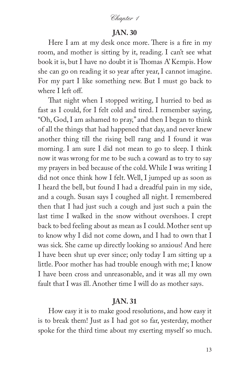## **JAN. 30**

Here I am at my desk once more. There is a fire in my room, and mother is sitting by it, reading. I can't see what book it is, but I have no doubt it is Thomas A' Kempis. How she can go on reading it so year after year, I cannot imagine. For my part I like something new. But I must go back to where I left off.

That night when I stopped writing, I hurried to bed as fast as I could, for I felt cold and tired. I remember saying, "Oh, God, I am ashamed to pray," and then I began to think of all the things that had happened that day, and never knew another thing till the rising bell rang and I found it was morning. I am sure I did not mean to go to sleep. I think now it was wrong for me to be such a coward as to try to say my prayers in bed because of the cold. While I was writing I did not once think how I felt. Well, I jumped up as soon as I heard the bell, but found I had a dreadful pain in my side, and a cough. Susan says I coughed all night. I remembered then that I had just such a cough and just such a pain the last time I walked in the snow without overshoes. I crept back to bed feeling about as mean as I could. Mother sent up to know why I did not come down, and I had to own that I was sick. She came up directly looking so anxious! And here I have been shut up ever since; only today I am sitting up a little. Poor mother has had trouble enough with me; I know I have been cross and unreasonable, and it was all my own fault that I was ill. Another time I will do as mother says.

## **JAN. 31**

How easy it is to make good resolutions, and how easy it is to break them! Just as I had got so far, yesterday, mother spoke for the third time about my exerting myself so much.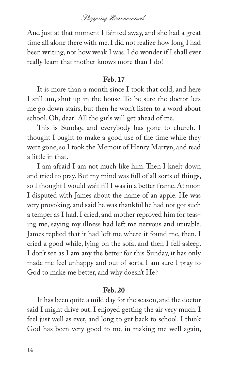And just at that moment I fainted away, and she had a great time all alone there with me. I did not realize how long I had been writing, nor how weak I was. I do wonder if I shall ever really learn that mother knows more than I do!

#### **Feb. 17**

It is more than a month since I took that cold, and here I still am, shut up in the house. To be sure the doctor lets me go down stairs, but then he won't listen to a word about school. Oh, dear! All the girls will get ahead of me.

This is Sunday, and everybody has gone to church. I thought I ought to make a good use of the time while they were gone, so I took the Memoir of Henry Martyn, and read a little in that.

I am afraid I am not much like him. Then I knelt down and tried to pray. But my mind was full of all sorts of things, so I thought I would wait till I was in a better frame. At noon I disputed with James about the name of an apple. He was very provoking, and said he was thankful he had not got such a temper as I had. I cried, and mother reproved him for teasing me, saying my illness had left me nervous and irritable. James replied that it had left me where it found me, then. I cried a good while, lying on the sofa, and then I fell asleep. I don't see as I am any the better for this Sunday, it has only made me feel unhappy and out of sorts. I am sure I pray to God to make me better, and why doesn't He?

#### **Feb. 20**

It has been quite a mild day for the season, and the doctor said I might drive out. I enjoyed getting the air very much. I feel just well as ever, and long to get back to school. I think God has been very good to me in making me well again,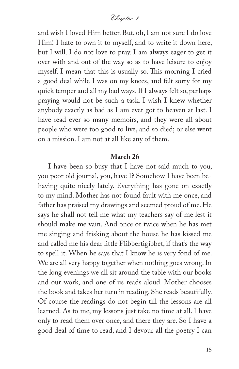and wish I loved Him better. But, oh, I am not sure I do love Him! I hate to own it to myself, and to write it down here, but I will. I do not love to pray. I am always eager to get it over with and out of the way so as to have leisure to enjoy myself. I mean that this is usually so. This morning I cried a good deal while I was on my knees, and felt sorry for my quick temper and all my bad ways. If I always felt so, perhaps praying would not be such a task. I wish I knew whether anybody exactly as bad as I am ever got to heaven at last. I have read ever so many memoirs, and they were all about people who were too good to live, and so died; or else went on a mission. I am not at all like any of them.

#### **March 26**

I have been so busy that I have not said much to you, you poor old journal, you, have I? Somehow I have been behaving quite nicely lately. Everything has gone on exactly to my mind. Mother has not found fault with me once, and father has praised my drawings and seemed proud of me. He says he shall not tell me what my teachers say of me lest it should make me vain. And once or twice when he has met me singing and frisking about the house he has kissed me and called me his dear little Flibbertigibbet, if that's the way to spell it. When he says that I know he is very fond of me. We are all very happy together when nothing goes wrong. In the long evenings we all sit around the table with our books and our work, and one of us reads aloud. Mother chooses the book and takes her turn in reading. She reads beautifully. Of course the readings do not begin till the lessons are all learned. As to me, my lessons just take no time at all. I have only to read them over once, and there they are. So I have a good deal of time to read, and I devour all the poetry I can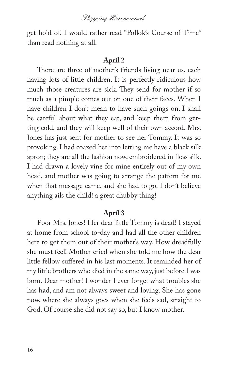Stepping Heavenward

get hold of. I would rather read "Pollok's Course of Time" than read nothing at all.

### **April 2**

There are three of mother's friends living near us, each having lots of little children. It is perfectly ridiculous how much those creatures are sick. They send for mother if so much as a pimple comes out on one of their faces. When I have children I don't mean to have such goings on. I shall be careful about what they eat, and keep them from getting cold, and they will keep well of their own accord. Mrs. Jones has just sent for mother to see her Tommy. It was so provoking. I had coaxed her into letting me have a black silk apron; they are all the fashion now, embroidered in floss silk. I had drawn a lovely vine for mine entirely out of my own head, and mother was going to arrange the pattern for me when that message came, and she had to go. I don't believe anything ails the child! a great chubby thing!

### **April 3**

Poor Mrs. Jones! Her dear little Tommy is dead! I stayed at home from school to-day and had all the other children here to get them out of their mother's way. How dreadfully she must feel! Mother cried when she told me how the dear little fellow suffered in his last moments. It reminded her of my little brothers who died in the same way, just before I was born. Dear mother! I wonder I ever forget what troubles she has had, and am not always sweet and loving. She has gone now, where she always goes when she feels sad, straight to God. Of course she did not say so, but I know mother.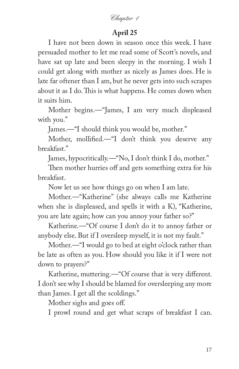## **April 25**

I have not been down in season once this week. I have persuaded mother to let me read some of Scott's novels, and have sat up late and been sleepy in the morning. I wish I could get along with mother as nicely as James does. He is late far oftener than I am, but he never gets into such scrapes about it as I do. This is what happens. He comes down when it suits him.

Mother begins.—"James, I am very much displeased with you."

James.—"I should think you would be, mother."

Mother, mollified.—"I don't think you deserve any breakfast."

James, hypocritically.—"No, I don't think I do, mother."

Then mother hurries off and gets something extra for his breakfast.

Now let us see how things go on when I am late.

Mother.—"Katherine" (she always calls me Katherine when she is displeased, and spells it with a K), "Katherine, you are late again; how can you annoy your father so?"

Katherine.—"Of course I don't do it to annoy father or anybody else. But if I oversleep myself, it is not my fault."

Mother.—"I would go to bed at eight o'clock rather than be late as often as you. How should you like it if I were not down to prayers?"

Katherine, muttering.—"Of course that is very different. I don't see why I should be blamed for oversleeping any more than James. I get all the scoldings."

Mother sighs and goes off.

I prowl round and get what scraps of breakfast I can.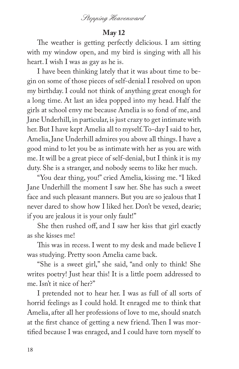

## **May 12**

The weather is getting perfectly delicious. I am sitting with my window open, and my bird is singing with all his heart. I wish I was as gay as he is.

I have been thinking lately that it was about time to begin on some of those pieces of self-denial I resolved on upon my birthday. I could not think of anything great enough for a long time. At last an idea popped into my head. Half the girls at school envy me because Amelia is so fond of me, and Jane Underhill, in particular, is just crazy to get intimate with her. But I have kept Amelia all to myself. To-day I said to her, Amelia, Jane Underhill admires you above all things. I have a good mind to let you be as intimate with her as you are with me. It will be a great piece of self-denial, but I think it is my duty. She is a stranger, and nobody seems to like her much.

"You dear thing, you!" cried Amelia, kissing me. "I liked Jane Underhill the moment I saw her. She has such a sweet face and such pleasant manners. But you are so jealous that I never dared to show how I liked her. Don't be vexed, dearie; if you are jealous it is your only fault!"

She then rushed off, and I saw her kiss that girl exactly as she kisses me!

This was in recess. I went to my desk and made believe I was studying. Pretty soon Amelia came back.

"She is a sweet girl," she said, "and only to think! She writes poetry! Just hear this! It is a little poem addressed to me. Isn't it nice of her?"

I pretended not to hear her. I was as full of all sorts of horrid feelings as I could hold. It enraged me to think that Amelia, after all her professions of love to me, should snatch at the first chance of getting a new friend. Then I was mortified because I was enraged, and I could have torn myself to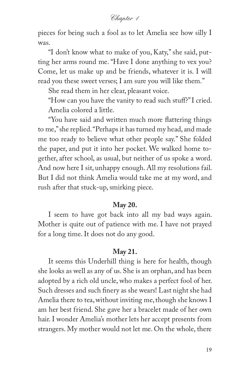pieces for being such a fool as to let Amelia see how silly I was.

"I don't know what to make of you, Katy," she said, putting her arms round me. "Have I done anything to vex you? Come, let us make up and be friends, whatever it is. I will read you these sweet verses; I am sure you will like them."

She read them in her clear, pleasant voice.

"How can you have the vanity to read such stuff?" I cried. Amelia colored a little.

"You have said and written much more flattering things to me," she replied. "Perhaps it has turned my head, and made me too ready to believe what other people say." She folded the paper, and put it into her pocket. We walked home together, after school, as usual, but neither of us spoke a word. And now here I sit, unhappy enough. All my resolutions fail. But I did not think Amelia would take me at my word, and rush after that stuck-up, smirking piece.

#### **May 20.**

I seem to have got back into all my bad ways again. Mother is quite out of patience with me. I have not prayed for a long time. It does not do any good.

### **May 21.**

It seems this Underhill thing is here for health, though she looks as well as any of us. She is an orphan, and has been adopted by a rich old uncle, who makes a perfect fool of her. Such dresses and such finery as she wears! Last night she had Amelia there to tea, without inviting me, though she knows I am her best friend. She gave her a bracelet made of her own hair. I wonder Amelia's mother lets her accept presents from strangers. My mother would not let me. On the whole, there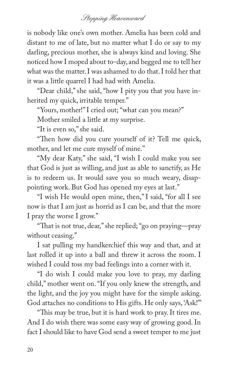is nobody like one's own mother. Amelia has been cold and distant to me of late, but no matter what I do or say to my darling, precious mother, she is always kind and loving. She noticed how I moped about to-day, and begged me to tell her what was the matter. I was ashamed to do that. I told her that it was a little quarrel I had had with Amelia.

"Dear child," she said, "how I pity you that you have inherited my quick, irritable temper."

"Yours, mother!" I cried out; "what can you mean?"

Mother smiled a little at my surprise.

"It is even so," she said.

"Then how did you cure yourself of it? Tell me quick, mother, and let me cure myself of mine."

"My dear Katy," she said, "I wish I could make you see that God is just as willing, and just as able to sanctify, as He is to redeem us. It would save you so much weary, disappointing work. But God has opened my eyes at last."

"I wish He would open mine, then," I said, "for all I see now is that I am just as horrid as I can be, and that the more I pray the worse I grow."

"That is not true, dear," she replied; "go on praying—pray without ceasing."

I sat pulling my handkerchief this way and that, and at last rolled it up into a ball and threw it across the room. I wished I could toss my bad feelings into a corner with it.

"I do wish I could make you love to pray, my darling child," mother went on. "If you only knew the strength, and the light, and the joy you might have for the simple asking. God attaches no conditions to His gifts. He only says, 'Ask!'"

"This may be true, but it is hard work to pray. It tires me. And I do wish there was some easy way of growing good. In fact I should like to have God send a sweet temper to me just